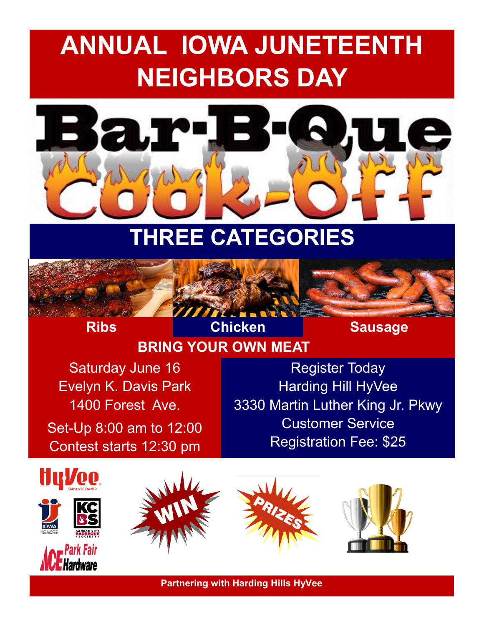# **ANNUAL IOWA JUNETEENTH NEIGHBORS DAY**



## **THREE CATEGORIES**



**Ribs Chicken Sausage** 

### **BRING YOUR OWN MEAT**

Saturday June 16 Evelyn K. Davis Park 1400 Forest Ave.

Set-Up 8:00 am to 12:00 Contest starts 12:30 pm

Register Today Harding Hill HyVee 3330 Martin Luther King Jr. Pkwy Customer Service Registration Fee: \$25



For more information contact Rod Bradley @ (515) 988-2290 or email: rbradley3012@gmail.com **Partnering with Harding Hills HyVee**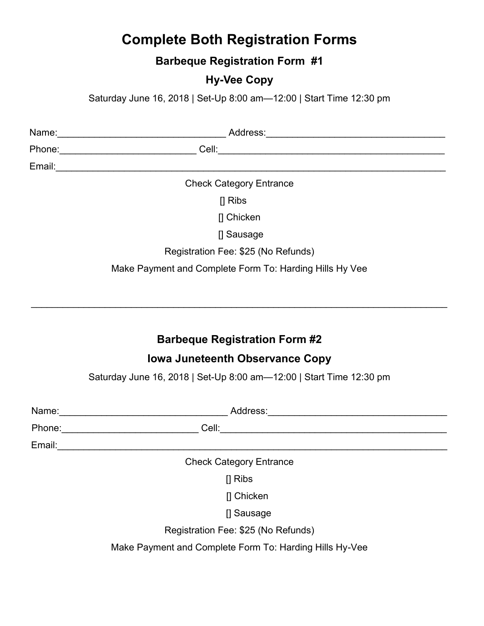#### **Complete Both Registration Forms**

**Barbeque Registration Form #1**

#### **Hy-Vee Copy**

Saturday June 16, 2018 | Set-Up 8:00 am—12:00 | Start Time 12:30 pm

| Name:  | Address:                                                |  |
|--------|---------------------------------------------------------|--|
| Phone: | Cell:                                                   |  |
| Email: |                                                         |  |
|        | <b>Check Category Entrance</b>                          |  |
|        | $\prod$ Ribs                                            |  |
|        | [] Chicken                                              |  |
|        | [] Sausage                                              |  |
|        | Registration Fee: \$25 (No Refunds)                     |  |
|        | Make Payment and Complete Form To: Harding Hills Hy Vee |  |
|        |                                                         |  |
|        |                                                         |  |

#### **Barbeque Registration Form #2**

\_\_\_\_\_\_\_\_\_\_\_\_\_\_\_\_\_\_\_\_\_\_\_\_\_\_\_\_\_\_\_\_\_\_\_\_\_\_\_\_\_\_\_\_\_\_\_\_\_\_\_\_\_\_\_\_\_\_\_\_\_\_\_\_\_\_\_\_\_\_\_\_\_\_\_\_\_\_\_

#### **Iowa Juneteenth Observance Copy**

Saturday June 16, 2018 | Set-Up 8:00 am—12:00 | Start Time 12:30 pm

| Name:  | Address:                                                |
|--------|---------------------------------------------------------|
| Phone: | Cell:                                                   |
| Email: |                                                         |
|        | <b>Check Category Entrance</b>                          |
|        | $\prod$ Ribs                                            |
|        | [] Chicken                                              |
|        | [] Sausage                                              |
|        | Registration Fee: \$25 (No Refunds)                     |
|        | Make Payment and Complete Form To: Harding Hills Hy-Vee |